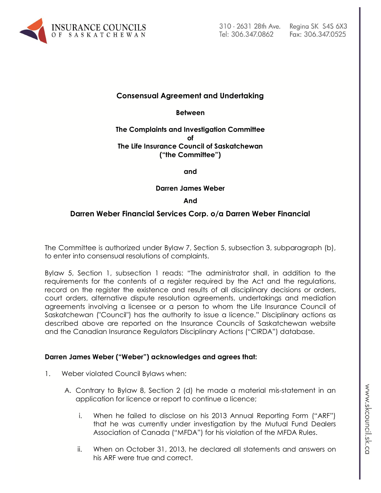

# **Consensual Agreement and Undertaking**

**Between**

#### **The Complaints and Investigation Committee of The Life Insurance Council of Saskatchewan ("the Committee")**

**and**

**Darren James Weber** 

#### **And**

# **Darren Weber Financial Services Corp. o/a Darren Weber Financial**

The Committee is authorized under Bylaw 7, Section 5, subsection 3, subparagraph (b), to enter into consensual resolutions of complaints.

Bylaw 5, Section 1, subsection 1 reads: "The administrator shall, in addition to the requirements for the contents of a register required by the Act and the regulations, record on the register the existence and results of all disciplinary decisions or orders, court orders, alternative dispute resolution agreements, undertakings and mediation agreements involving a licensee or a person to whom the Life Insurance Council of Saskatchewan ("Council") has the authority to issue a licence." Disciplinary actions as described above are reported on the Insurance Councils of Saskatchewan website and the Canadian Insurance Regulators Disciplinary Actions ("CIRDA") database.

#### **Darren James Weber ("Weber") acknowledges and agrees that:**

- 1. Weber violated Council Bylaws when:
	- A. Contrary to Bylaw 8, Section 2 (d) he made a material mis-statement in an application for licence or report to continue a licence;
		- i. When he failed to disclose on his 2013 Annual Reporting Form ("ARF") that he was currently under investigation by the Mutual Fund Dealers Association of Canada ("MFDA") for his violation of the MFDA Rules.
		- ii. When on October 31, 2013, he declared all statements and answers on his ARF were true and correct.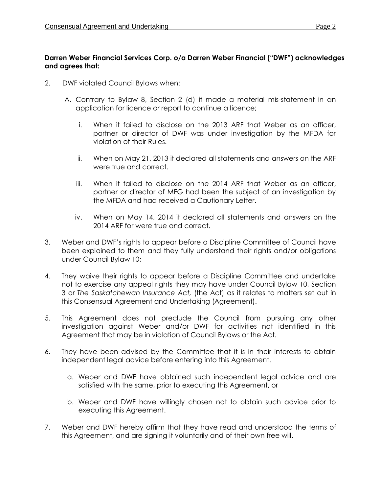## **Darren Weber Financial Services Corp. o/a Darren Weber Financial ("DWF") acknowledges and agrees that:**

- 2. DWF violated Council Bylaws when:
	- A. Contrary to Bylaw 8, Section 2 (d) it made a material mis-statement in an application for licence or report to continue a licence;
		- i. When it failed to disclose on the 2013 ARF that Weber as an officer, partner or director of DWF was under investigation by the MFDA for violation of their Rules.
		- ii. When on May 21, 2013 it declared all statements and answers on the ARF were true and correct.
		- iii. When it failed to disclose on the 2014 ARF that Weber as an officer, partner or director of MFG had been the subject of an investigation by the MFDA and had received a Cautionary Letter.
		- iv. When on May 14, 2014 it declared all statements and answers on the 2014 ARF for were true and correct.
- 3. Weber and DWF's rights to appear before a Discipline Committee of Council have been explained to them and they fully understand their rights and/or obligations under Council Bylaw 10;
- 4. They waive their rights to appear before a Discipline Committee and undertake not to exercise any appeal rights they may have under Council Bylaw 10, Section 3 or *The Saskatchewan Insurance Act,* (the Act) as it relates to matters set out in this Consensual Agreement and Undertaking (Agreement).
- 5. This Agreement does not preclude the Council from pursuing any other investigation against Weber and/or DWF for activities not identified in this Agreement that may be in violation of Council Bylaws or the Act.
- 6. They have been advised by the Committee that it is in their interests to obtain independent legal advice before entering into this Agreement.
	- a. Weber and DWF have obtained such independent legal advice and are satisfied with the same, prior to executing this Agreement, or
	- b. Weber and DWF have willingly chosen not to obtain such advice prior to executing this Agreement.
- 7. Weber and DWF hereby affirm that they have read and understood the terms of this Agreement, and are signing it voluntarily and of their own free will.